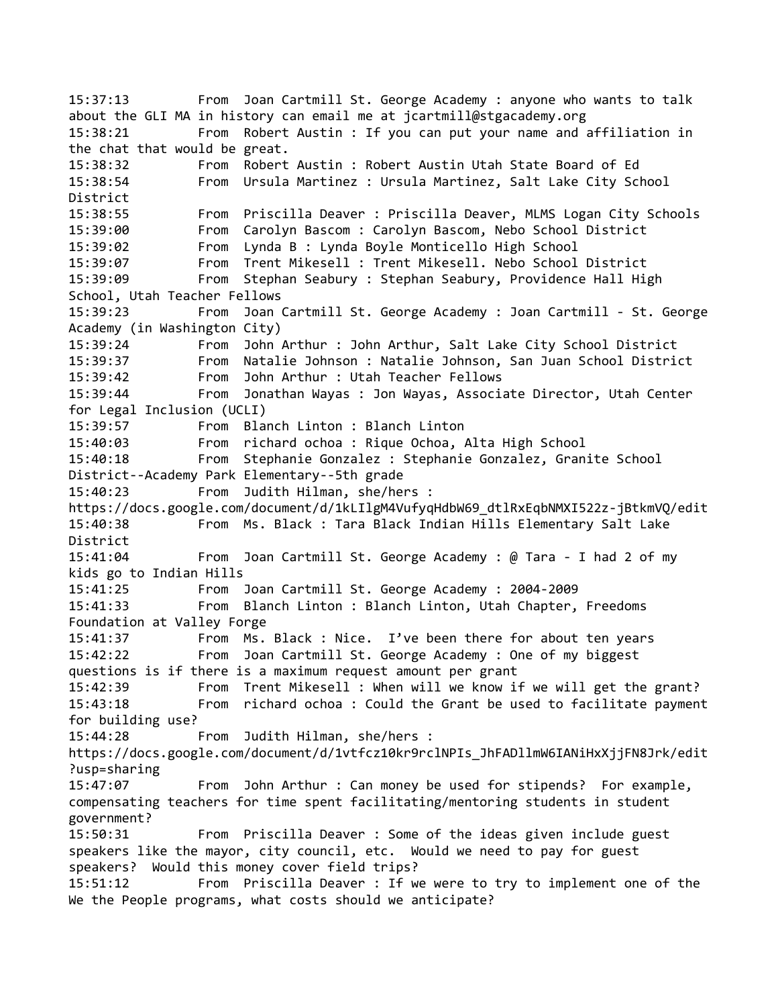15:37:13 From Joan Cartmill St. George Academy : anyone who wants to talk about the GLI MA in history can email me at jcartmill@stgacademy.org 15:38:21 From Robert Austin : If you can put your name and affiliation in the chat that would be great. 15:38:32 From Robert Austin : Robert Austin Utah State Board of Ed 15:38:54 From Ursula Martinez : Ursula Martinez, Salt Lake City School District 15:38:55 From Priscilla Deaver : Priscilla Deaver, MLMS Logan City Schools 15:39:00 From Carolyn Bascom : Carolyn Bascom, Nebo School District 15:39:02 From Lynda B : Lynda Boyle Monticello High School 15:39:07 From Trent Mikesell : Trent Mikesell. Nebo School District 15:39:09 From Stephan Seabury : Stephan Seabury, Providence Hall High School, Utah Teacher Fellows 15:39:23 From Joan Cartmill St. George Academy : Joan Cartmill - St. George Academy (in Washington City) 15:39:24 From John Arthur : John Arthur, Salt Lake City School District 15:39:37 From Natalie Johnson : Natalie Johnson, San Juan School District 15:39:42 From John Arthur : Utah Teacher Fellows 15:39:44 From Jonathan Wayas : Jon Wayas, Associate Director, Utah Center for Legal Inclusion (UCLI) 15:39:57 From Blanch Linton : Blanch Linton 15:40:03 From richard ochoa : Rique Ochoa, Alta High School 15:40:18 From Stephanie Gonzalez : Stephanie Gonzalez, Granite School District--Academy Park Elementary--5th grade 15:40:23 From Judith Hilman, she/hers : https://docs.google.com/document/d/1kLIlgM4VufyqHdbW69\_dtlRxEqbNMXI522z-jBtkmVQ/edit 15:40:38 From Ms. Black : Tara Black Indian Hills Elementary Salt Lake District 15:41:04 From Joan Cartmill St. George Academy : @ Tara - I had 2 of my kids go to Indian Hills 15:41:25 From Joan Cartmill St. George Academy : 2004-2009 15:41:33 From Blanch Linton : Blanch Linton, Utah Chapter, Freedoms Foundation at Valley Forge 15:41:37 From Ms. Black : Nice. I've been there for about ten years 15:42:22 From Joan Cartmill St. George Academy : One of my biggest questions is if there is a maximum request amount per grant 15:42:39 From Trent Mikesell : When will we know if we will get the grant? 15:43:18 From richard ochoa : Could the Grant be used to facilitate payment for building use? 15:44:28 From Judith Hilman, she/hers : https://docs.google.com/document/d/1vtfcz10kr9rclNPIs\_JhFADllmW6IANiHxXjjFN8Jrk/edit ?usp=sharing 15:47:07 From John Arthur : Can money be used for stipends? For example, compensating teachers for time spent facilitating/mentoring students in student government? 15:50:31 From Priscilla Deaver : Some of the ideas given include guest speakers like the mayor, city council, etc. Would we need to pay for guest speakers? Would this money cover field trips? 15:51:12 From Priscilla Deaver : If we were to try to implement one of the We the People programs, what costs should we anticipate?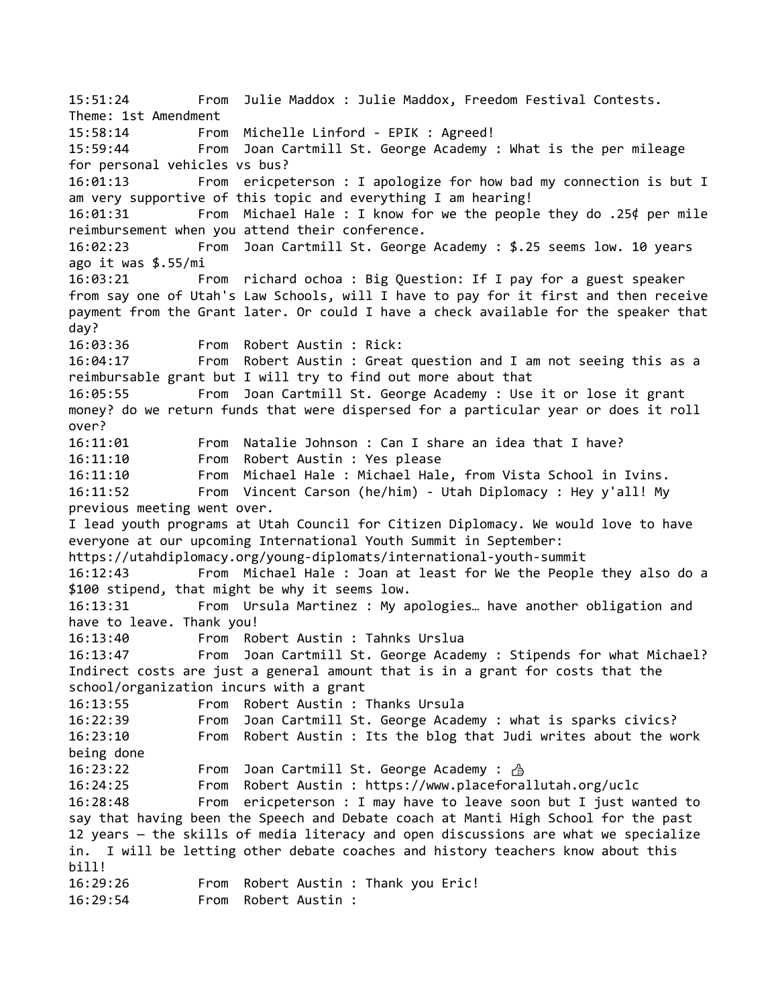15:51:24 From Julie Maddox : Julie Maddox, Freedom Festival Contests. Theme: 1st Amendment 15:58:14 From Michelle Linford - EPIK : Agreed! 15:59:44 From Joan Cartmill St. George Academy : What is the per mileage for personal vehicles vs bus? 16:01:13 From ericpeterson : I apologize for how bad my connection is but I am very supportive of this topic and everything I am hearing! 16:01:31 From Michael Hale : I know for we the people they do .25¢ per mile reimbursement when you attend their conference. 16:02:23 From Joan Cartmill St. George Academy : \$.25 seems low. 10 years ago it was \$.55/mi 16:03:21 From richard ochoa : Big Question: If I pay for a guest speaker from say one of Utah's Law Schools, will I have to pay for it first and then receive payment from the Grant later. Or could I have a check available for the speaker that day? 16:03:36 From Robert Austin : Rick: 16:04:17 From Robert Austin : Great question and I am not seeing this as a reimbursable grant but I will try to find out more about that 16:05:55 From Joan Cartmill St. George Academy : Use it or lose it grant money? do we return funds that were dispersed for a particular year or does it roll over? 16:11:01 From Natalie Johnson : Can I share an idea that I have? 16:11:10 From Robert Austin : Yes please 16:11:10 From Michael Hale : Michael Hale, from Vista School in Ivins. 16:11:52 From Vincent Carson (he/him) - Utah Diplomacy : Hey y'all! My previous meeting went over. I lead youth programs at Utah Council for Citizen Diplomacy. We would love to have everyone at our upcoming International Youth Summit in September: https://utahdiplomacy.org/young-diplomats/international-youth-summit 16:12:43 From Michael Hale : Joan at least for We the People they also do a \$100 stipend, that might be why it seems low. 16:13:31 From Ursula Martinez : My apologies… have another obligation and have to leave. Thank you! 16:13:40 From Robert Austin : Tahnks Urslua 16:13:47 From Joan Cartmill St. George Academy : Stipends for what Michael? Indirect costs are just a general amount that is in a grant for costs that the school/organization incurs with a grant 16:13:55 From Robert Austin : Thanks Ursula 16:22:39 From Joan Cartmill St. George Academy : what is sparks civics? 16:23:10 From Robert Austin : Its the blog that Judi writes about the work being done 16:23:22 From Joan Cartmill St. George Academy : A 16:24:25 From Robert Austin : https://www.placeforallutah.org/uclc 16:28:48 From ericpeterson : I may have to leave soon but I just wanted to say that having been the Speech and Debate coach at Manti High School for the past 12 years — the skills of media literacy and open discussions are what we specialize in. I will be letting other debate coaches and history teachers know about this bill! 16:29:26 From Robert Austin : Thank you Eric! 16:29:54 From Robert Austin :